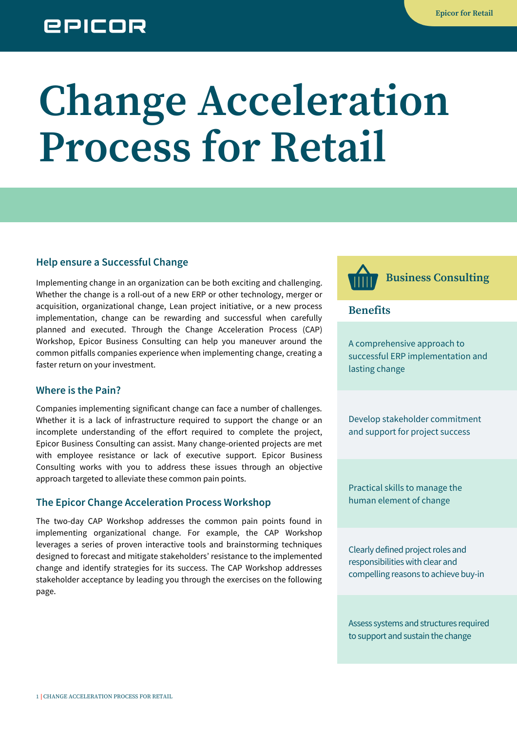## **EPICOR**

# **Change Acceleration Process for Retail**

#### **Help ensure a Successful Change**

Implementing change in an organization can be both exciting and challenging. Whether the change is a roll-out of a new ERP or other technology, merger or acquisition, organizational change, Lean project initiative, or a new process implementation, change can be rewarding and successful when carefully planned and executed. Through the Change Acceleration Process (CAP) Workshop, Epicor Business Consulting can help you maneuver around the common pitfalls companies experience when implementing change, creating a faster return on your investment.

#### **Where is the Pain?**

Companies implementing significant change can face a number of challenges. Whether it is a lack of infrastructure required to support the change or an incomplete understanding of the effort required to complete the project, Epicor Business Consulting can assist. Many change-oriented projects are met with employee resistance or lack of executive support. Epicor Business Consulting works with you to address these issues through an objective approach targeted to alleviate these common pain points.

#### **The Epicor Change Acceleration Process Workshop**

The two-day CAP Workshop addresses the common pain points found in implementing organizational change. For example, the CAP Workshop leverages a series of proven interactive tools and brainstorming techniques designed to forecast and mitigate stakeholders' resistance to the implemented change and identify strategies for its success. The CAP Workshop addresses stakeholder acceptance by leading you through the exercises on the following page.

**Business Consulting**

**Benefits**

A comprehensive approach to successful ERP implementation and lasting change

Develop stakeholder commitment and support for project success

Practical skills to manage the human element of change

Clearly defined project roles and responsibilities with clear and compelling reasons to achieve buy-in

Assess systems and structures required to support and sustain the change